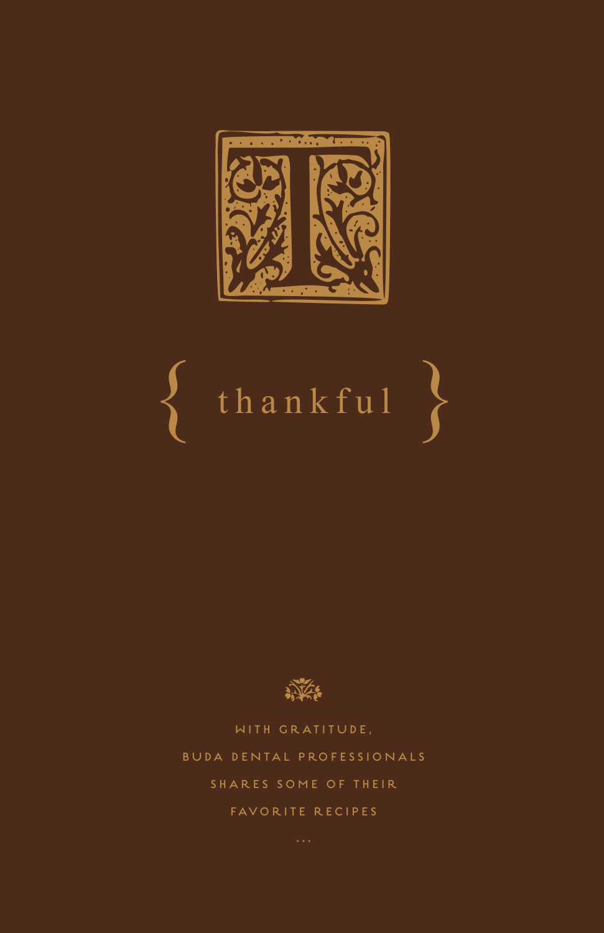

# $t$ hankful



WITH GRATITUDE , BUDA DENTAL PROFESSIONALS SHARES SOME OF THEIR FAVORITE RECIPES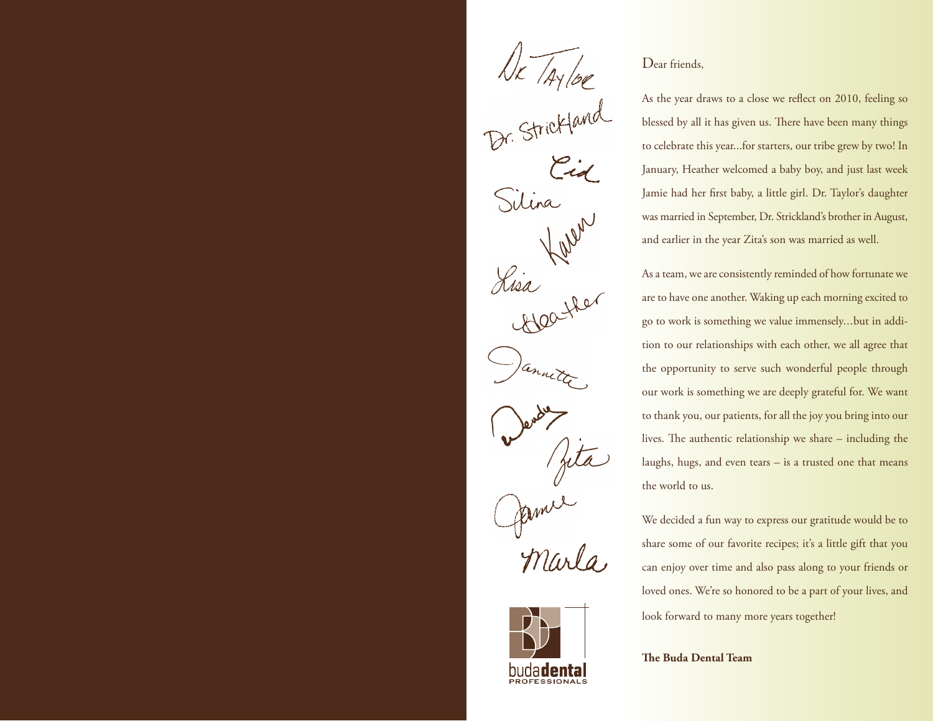De Tayloe<br>Dr. Strickland<br>Silina Lisa anni



#### Dear friends,

As the year draws to a close we reflect on 2010, feeling so blessed by all it has given us. There have been many things to celebrate this year...for starters, our tribe grew by two! In January, Heather welcomed a baby boy, and just last week Jamie had her first baby, a little girl. Dr. Taylor's daughter was married in September, Dr. Strickland's brother in August, and earlier in the year Zita's son was married as well.

As a team, we are consistently reminded of how fortunate we are to have one another. Waking up each morning excited to go to work is something we value immensely...but in addition to our relationships with each other, we all agree that the opportunity to serve such wonderful people through our work is something we are deeply grateful for. We want to thank you, our patients, for all the joy you bring into our lives. The authentic relationship we share – including the laughs, hugs, and even tears – is a trusted one that means the world to us.

We decided a fun way to express our gratitude would be to share some of our favorite recipes; it's a little gift that you can enjoy over time and also pass along to your friends or loved ones. We're so honored to be a part of your lives, and look forward to many more years together!

**The Buda Dental Team**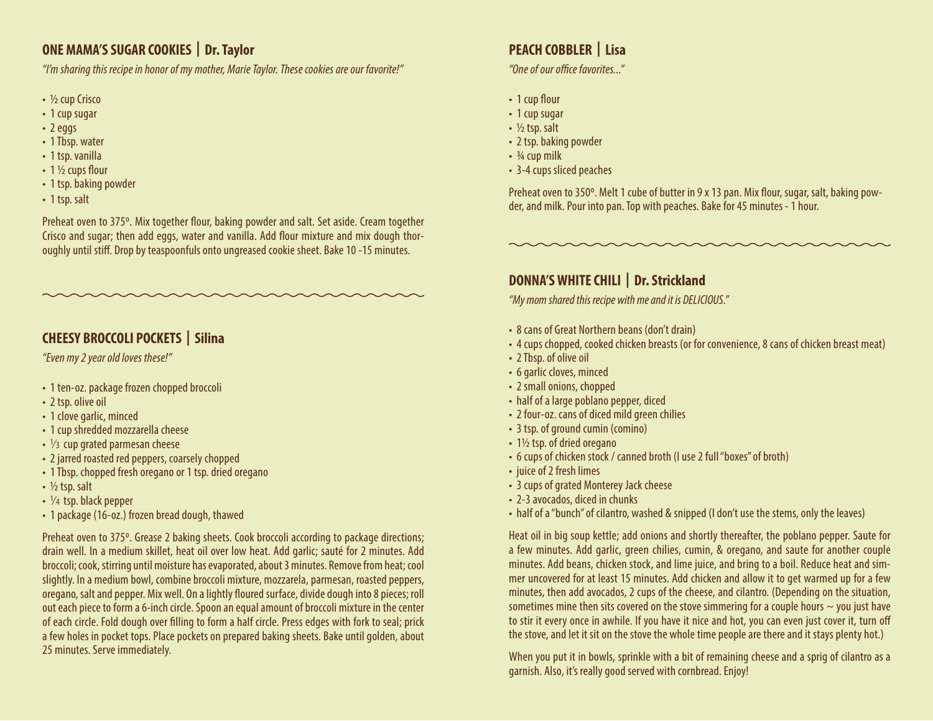### **ONE MAMA'S SUGAR COOKIES | Dr. Taylor**

"I'm sharing this recipe in honor of my mother, Marie Taylor. These cookies are our favorite!"

- ½ cup Crisco
- 1 cup sugar
- 2 eggs
- 1 Tbsp. water
- 1 tsp. vanilla
- 1 1/2 cups flour
- 1 tsp. baking powder
- 1 tsp. salt

Preheat oven to 375º. Mix together flour, baking powder and salt. Set aside. Cream together Crisco and sugar; then add eggs, water and vanilla. Add flour mixture and mix dough thoroughly until stiff. Drop by teaspoonfuls onto ungreased cookie sheet. Bake 10 -15 minutes.

#### **CHEESY BROCCOLI POCKETS | Silina**

"Even my 2 year old loves these!"

- 1 ten-oz. package frozen chopped broccoli
- 2 tsp. olive oil
- 1 clove garlic, minced
- 1 cup shredded mozzarella cheese
- $\cdot$   $\frac{1}{3}$  cup grated parmesan cheese
- 2 jarred roasted red peppers, coarsely chopped
- 1 Tbsp. chopped fresh oregano or 1 tsp. dried oregano
- $\cdot$  1/2 tsp. salt
- $\frac{1}{4}$  tsp. black pepper
- 1 package (16-oz.) frozen bread dough, thawed

Preheat oven to 375º. Grease 2 baking sheets. Cook broccoli according to package directions; drain well. In a medium skillet, heat oil over low heat. Add garlic; sauté for 2 minutes. Add broccoli; cook, stirring until moisture has evaporated, about 3 minutes. Remove from heat; cool slightly. In a medium bowl, combine broccoli mixture, mozzarela, parmesan, roasted peppers, oregano, salt and pepper. Mix well. On a lightly floured surface, divide dough into 8 pieces; roll out each piece to form a 6-inch circle. Spoon an equal amount of broccoli mixture in the center of each circle. Fold dough over filling to form a half circle. Press edges with fork to seal; prick a few holes in pocket tops. Place pockets on prepared baking sheets. Bake until golden, about 25 minutes. Serve immediately.

# **PEACH COBBLER | Lisa**

"One of our office favorites..."

- 1 cup flour
- 1 cup sugar
- $\cdot$  1/2 tsp. salt
- 2 tsp. baking powder
- $\cdot$   $\frac{3}{4}$  cup milk
- 3-4 cups sliced peaches

Preheat oven to 350º. Melt 1 cube of butter in 9 x 13 pan. Mix flour, sugar, salt, baking powder, and milk. Pour into pan. Top with peaches. Bake for 45 minutes - 1 hour.

### **DONNA'S WHITE CHILI | Dr. Strickland**

"My mom shared this recipe with me and it is DELICIOUS."

- 8 cans of Great Northern beans (don't drain)
- 4 cups chopped, cooked chicken breasts (or for convenience, 8 cans of chicken breast meat)
- 2 Tbsp. of olive oil
- 6 garlic cloves, minced
- 2 small onions, chopped
- half of a large poblano pepper, diced
- 2 four-oz. cans of diced mild green chilies
- 3 tsp. of ground cumin (comino)
- 1½ tsp. of dried oregano
- 6 cups of chicken stock / canned broth (I use 2 full "boxes" of broth)
- juice of 2 fresh limes
- 3 cups of grated Monterey Jack cheese
- 2-3 avocados, diced in chunks
- half of a "bunch" of cilantro, washed & snipped (I don't use the stems, only the leaves)

Heat oil in big soup kettle; add onions and shortly thereafter, the poblano pepper. Saute for a few minutes. Add garlic, green chilies, cumin, & oregano, and saute for another couple minutes. Add beans, chicken stock, and lime juice, and bring to a boil. Reduce heat and simmer uncovered for at least 15 minutes. Add chicken and allow it to get warmed up for a few minutes, then add avocados, 2 cups of the cheese, and cilantro. (Depending on the situation, sometimes mine then sits covered on the stove simmering for a couple hours  $\sim$  you just have to stir it every once in awhile. If you have it nice and hot, you can even just cover it, turn off the stove, and let it sit on the stove the whole time people are there and it stays plenty hot.)

When you put it in bowls, sprinkle with a bit of remaining cheese and a sprig of cilantro as a garnish. Also, it's really good served with cornbread. Enjoy!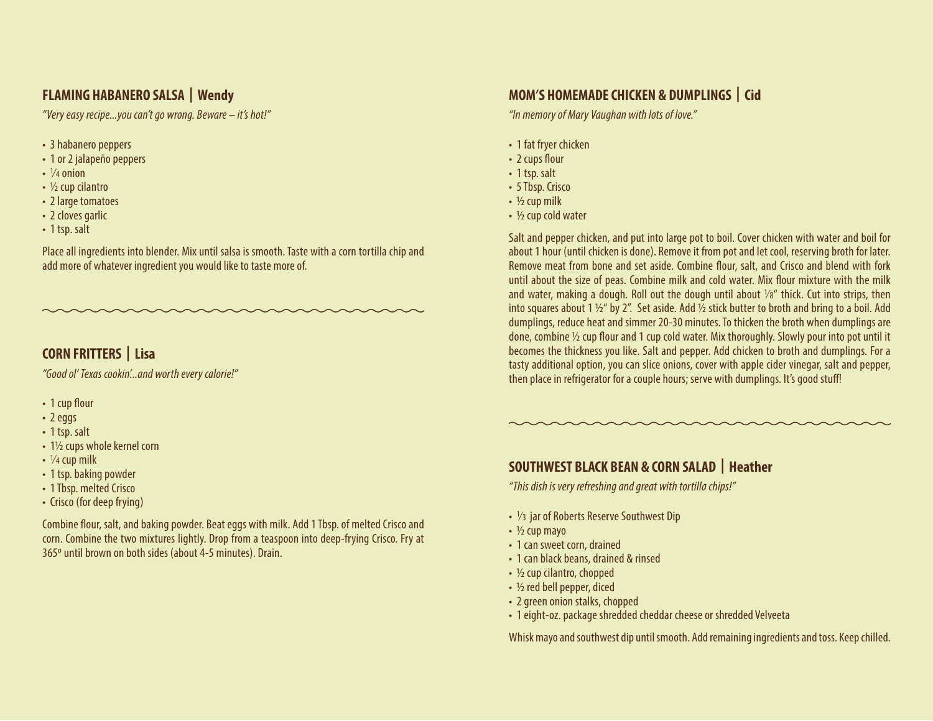### **FLAMING HABANERO SALSA | Wendy**

"Very easy recipe...you can't go wrong. Beware – it's hot!"

- 3 habanero peppers
- 1 or 2 jalapeño peppers
- $\frac{1}{4}$  onion
- ½ cup cilantro
- 2 large tomatoes
- 2 cloves garlic
- 1 tsp. salt

Place all ingredients into blender. Mix until salsa is smooth. Taste with a corn tortilla chip and add more of whatever ingredient you would like to taste more of.

# **CORN FRITTERS | Lisa**

"Good ol' Texas cookin'...and worth every calorie!"

- 1 cup flour
- 2 eggs
- 1 tsp. salt
- 1½ cups whole kernel corn
- $\cdot$   $\frac{1}{4}$  cup milk
- 1 tsp. baking powder
- 1 Tbsp. melted Crisco
- Crisco (for deep frying)

Combine flour, salt, and baking powder. Beat eggs with milk. Add 1 Tbsp. of melted Crisco and corn. Combine the two mixtures lightly. Drop from a teaspoon into deep-frying Crisco. Fry at 365º until brown on both sides (about 4-5 minutes). Drain.

# **MOM'S HOMEMADE CHICKEN & DUMPLINGS | Cid**

"In memory of Mary Vaughan with lots of love."

- 1 fat fryer chicken
- 2 cups flour
- 1 tsp. salt
- 5 Tbsp. Crisco
- $\cdot$  ½ cup milk
- ½ cup cold water

Salt and pepper chicken, and put into large pot to boil. Cover chicken with water and boil for about 1 hour (until chicken is done). Remove it from pot and let cool, reserving broth for later. Remove meat from bone and set aside. Combine flour, salt, and Crisco and blend with fork until about the size of peas. Combine milk and cold water. Mix flour mixture with the milk and water, making a dough. Roll out the dough until about  $\frac{1}{8}$  thick. Cut into strips, then into squares about 1 ½" by 2". Set aside. Add ½ stick butter to broth and bring to a boil. Add dumplings, reduce heat and simmer 20-30 minutes. To thicken the broth when dumplings are done, combine ½ cup flour and 1 cup cold water. Mix thoroughly. Slowly pour into pot until it becomes the thickness you like. Salt and pepper. Add chicken to broth and dumplings. For a tasty additional option, you can slice onions, cover with apple cider vinegar, salt and pepper, then place in refrigerator for a couple hours; serve with dumplings. It's good stuff!

#### **SOUTHWEST BLACK BEAN & CORN SALAD | Heather**

"This dish is very refreshing and great with tortilla chips!"

- $\frac{1}{3}$  jar of Roberts Reserve Southwest Dip
- ½ cup mayo
- 1 can sweet corn, drained
- 1 can black beans, drained & rinsed
- ½ cup cilantro, chopped
- ½ red bell pepper, diced
- 2 green onion stalks, chopped
- 1 eight-oz. package shredded cheddar cheese or shredded Velveeta

Whisk mayo and southwest dip until smooth. Add remaining ingredients and toss. Keep chilled.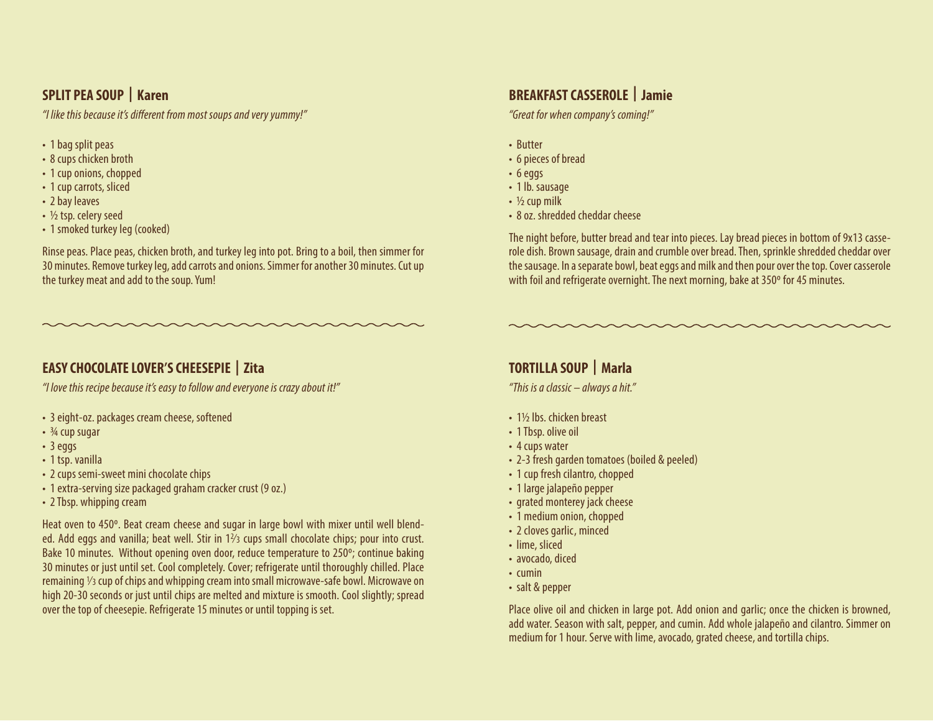### **SPLIT PEA SOUP | Karen**

"I like this because it's different from most soups and very yummy!"

- 1 bag split peas
- 8 cups chicken broth
- 1 cup onions, chopped
- 1 cup carrots, sliced
- 2 bay leaves
- ½ tsp. celery seed
- 1 smoked turkey leg (cooked)

Rinse peas. Place peas, chicken broth, and turkey leg into pot. Bring to a boil, then simmer for 30 minutes. Remove turkey leg, add carrots and onions. Simmer for another 30 minutes. Cut up the turkey meat and add to the soup. Yum!

#### **BREAKFAST CASSEROLE | Jamie**

"Great for when company's coming!"

- Butter
- 6 pieces of bread
- 6 eggs
- 1 lb. sausage
- $\cdot$  ½ cup milk
- 8 oz. shredded cheddar cheese

The night before, butter bread and tear into pieces. Lay bread pieces in bottom of 9x13 casserole dish. Brown sausage, drain and crumble over bread. Then, sprinkle shredded cheddar over the sausage. In a separate bowl, beat eggs and milk and then pour over the top. Cover casserole with foil and refrigerate overnight. The next morning, bake at 350º for 45 minutes.

# **EASY CHOCOLATE LOVER'S CHEESEPIE | Zita**

"I love this recipe because it's easy to follow and everyone is crazy about it!"

- 3 eight-oz. packages cream cheese, softened
- $\cdot$   $\frac{3}{4}$  cup sugar
- 3 eggs
- 1 tsp. vanilla
- 2 cups semi-sweet mini chocolate chips
- 1 extra-serving size packaged graham cracker crust (9 oz.)
- 2 Tbsp. whipping cream

Heat oven to 450º. Beat cream cheese and sugar in large bowl with mixer until well blended. Add eggs and vanilla; beat well. Stir in 1<sup>2</sup>/3 cups small chocolate chips; pour into crust. Bake 10 minutes. Without opening oven door, reduce temperature to 250º; continue baking 30 minutes or just until set. Cool completely. Cover; refrigerate until thoroughly chilled. Place remaining 1/3 cup of chips and whipping cream into small microwave-safe bowl. Microwave on high 20-30 seconds or just until chips are melted and mixture is smooth. Cool slightly; spread over the top of cheesepie. Refrigerate 15 minutes or until topping is set.

#### **TORTILLA SOUP | Marla**

"This is a classic – always a hit."

- 1½ lbs. chicken breast
- 1 Tbsp. olive oil
- 4 cups water
- 2-3 fresh garden tomatoes (boiled & peeled)
- 1 cup fresh cilantro, chopped
- 1 large jalapeño pepper
- grated monterey jack cheese
- 1 medium onion, chopped
- 2 cloves garlic, minced
- lime, sliced
- avocado, diced
- cumin
- salt & pepper

Place olive oil and chicken in large pot. Add onion and garlic; once the chicken is browned, add water. Season with salt, pepper, and cumin. Add whole jalapeño and cilantro. Simmer on medium for 1 hour. Serve with lime, avocado, grated cheese, and tortilla chips.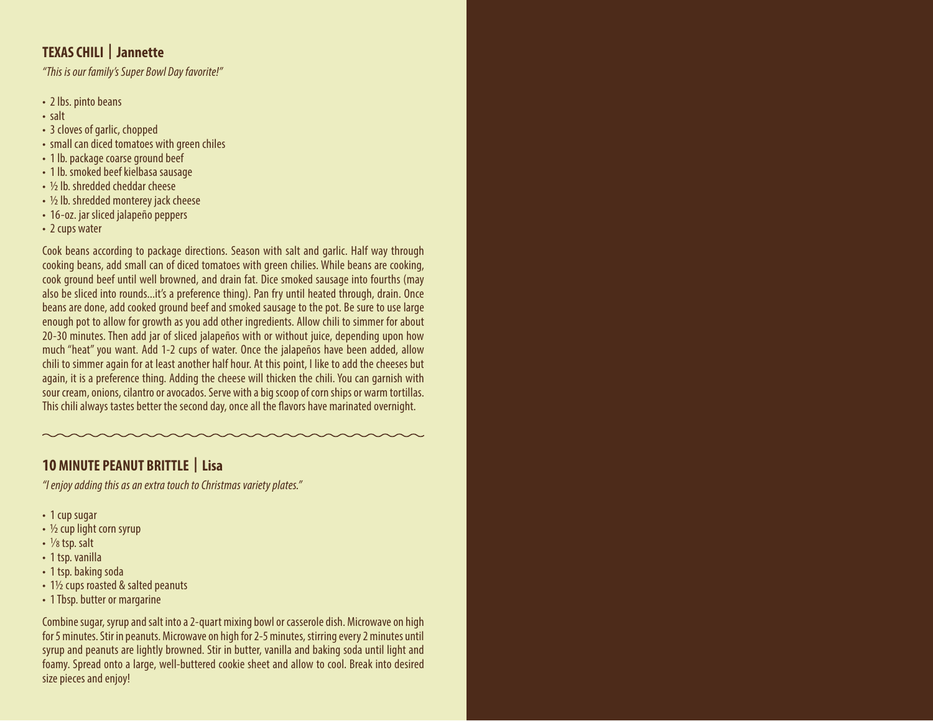#### **TEXAS CHILI | Jannette**

"This is our family's Super Bowl Day favorite!"

- 2 lbs. pinto beans
- salt
- 3 cloves of garlic, chopped
- small can diced tomatoes with green chiles
- 1 lb. package coarse ground beef
- 1 lb. smoked beef kielbasa sausage
- ½ lb. shredded cheddar cheese
- 1/2 lb. shredded monterey jack cheese
- 16-oz. jar sliced jalapeño peppers
- 2 cups water

Cook beans according to package directions. Season with salt and garlic. Half way through cooking beans, add small can of diced tomatoes with green chilies. While beans are cooking, cook ground beef until well browned, and drain fat. Dice smoked sausage into fourths (may also be sliced into rounds...it's a preference thing). Pan fry until heated through, drain. Once beans are done, add cooked ground beef and smoked sausage to the pot. Be sure to use large enough pot to allow for growth as you add other ingredients. Allow chili to simmer for about 20-30 minutes. Then add jar of sliced jalapeños with or without juice, depending upon how much "heat" you want. Add 1-2 cups of water. Once the jalapeños have been added, allow chili to simmer again for at least another half hour. At this point, I like to add the cheeses but again, it is a preference thing. Adding the cheese will thicken the chili. You can garnish with sour cream, onions, cilantro or avocados. Serve with a big scoop of corn ships or warm tortillas. This chili always tastes better the second day, once all the flavors have marinated overnight.

# **10 MINUTE PEANUT BRITTLE | Lisa**

"I enjoy adding this as an extra touch to Christmas variety plates."

- 1 cup sugar
- 1/2 cup light corn syrup
- 1/8 tsp. salt
- 1 tsp. vanilla
- 1 tsp. baking soda
- 1½ cups roasted & salted peanuts
- 1 Tbsp. butter or margarine

Combine sugar, syrup and salt into a 2-quart mixing bowl or casserole dish. Microwave on high for 5 minutes. Stir in peanuts. Microwave on high for 2-5 minutes, stirring every 2 minutes until syrup and peanuts are lightly browned. Stir in butter, vanilla and baking soda until light and foamy. Spread onto a large, well-buttered cookie sheet and allow to cool. Break into desired size pieces and enjoy!